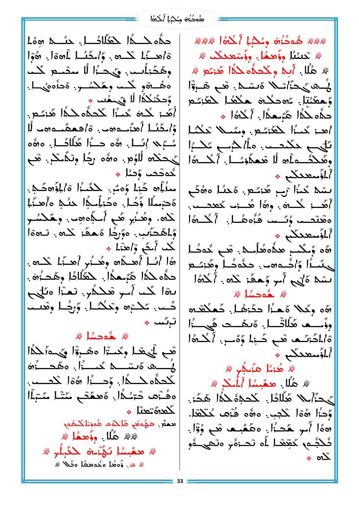حِدُّهِ حَـــدُ الْحَجَّلَادُـــا . حبُـــح مِهْهَا ةَ اهْشَاءُ لِمَدْهُ وَاسْتَنَسَلَ الْمُحَامَلُ: هُوْا وهَدَٰٓأَلِّبٍ ۚ وَيُحِدُّرُا لَا مِحْمِعِ كَبَ ەھْكەو گىسە وھّْكْسُسْبْ ەْجْزُەي ل وَحَدَّنَكُمُّا لَٰهُ مِّيمَعُّمَتَ ﴾ أَهَٰ: كُنْ كَسُرًا كَحِذُهِ حَكًا هَٰ: مَنْ مِنْ وَّاْمِثَنَا أَهزَّىــــەھە . ۋاقىممَّىـــەھە لَّا سُبْمِهِ إِنَّسَا. وهُو حِيدًا هَٰمُلاَحُسا. وهُو يُحِكْدُهُ لْلُؤُمْ. هِ هُهُ رَجُلُ وِتُمُكُنْ, هُمْ لُدەتىم ۆتىلا ھ مِبِيَٰٓاهُمْ جَٰٓئِيا وَمِيْنِ كَكَنُواْ وَاٰلِمَوْهِ جَكِيْرٍ. هُحرْملًا وَّحُـل. هكْنِيُمْكُمُّا حَنُـهِ هِٱهْـذَٰىٰ ∑٥. وِهُـُّبَہِ هُـمِ أَمْـكِم00ِم، و**حَ**كْسُـهِ وَٰٓڵۿؘڂڗڛ؞ۏۅؙڔڮؙٳٷ؎ڡٚۮۥڞڎٵ لَّكَ أَحَكَ وَأَهْنَا \* هْمَ أَسْلَمْ أَهْلُمُهُ وِهُـنُو أَهْلُهُمْ لَكُـهِ. حِدُّه حَكًّا هُبُعِجًا. حَعَلَائِا وِهُدَّق. ىۋا كىيە أسو شىلگىر. تىمشا ەئلىم كُــب. كَلـْبْرَه وِتَعَكْــا. وُرِكْـا وِتْعَلــت ثرِتُت ﴿ 2 Lisca 2 هْمِ لَيُهْا وِمُتَ اتَّهُ وَاسْتَمَامٍ مِنْ السَّمَرَةُ لِكَيْمَا قْ مَهْ مَسْمُ كَمِسْأَلِ مِفْجَسَةُ كْحِدُّه حَـــدًا. وَحـــزًا هُوْا ݣَحـــب. ەفْتْھ دْتْكُا. ەْھكْتْم مْتْلْمْتْبْلْ لاهدة تعنا همعُر. هِهُمش هُالِكُمْ هُوزالِكْلِغُمْ) 20 هُلا. وذُههُا 2 & همَبِسُا نَكْتَبْهُ كَثَيْلُو & @ ، وَوَهُل ويُدهدهُا وفُلا @

222 هُدْدُوه ولِكُمْ أَلْحُلُهُ الْكُلْمُ ® تْبْسُلُّا وَوُهِعُا. وَوُسْعِدِكْتْ ® ® هُلَّا. أَبِهِ وَكُحِدُّهِ حُهُّ! هُزِيَّعٍ ® لُّـِـِّـِّ صَـٰٓاتِـْ لَا هَـَـْـِمْ. هَــِ هَــِزْةَ ا وُحِعَدُتِلَ. يُهْدَكُ وَحَكْمَهُ حَمْدُهُمْ الْمَحْتَمَدِ دِمُوحِكُمَا هَبْعِمَا. أَحْدُهَا \* اهن كميًّا لمكَّنِّتْهِ. وِسَّمِلاً تَمْكُماً تَايْبُ حَكْمَصَبَ وَأَلَمْ حَبَّ تَحْسُرُا وهَكْشُدُ وَلَا هُجِمْوَيْهِ لِيَ أَكْسِدُا أَلْمُؤْمِعْدَكُمْ ﴾ ىشك گىزُا آرىم ھُزىمَكِنْ مَجْبًا مَا مَكْتَبَ أهَب: كُمْ وَالْمَا هُمْ مَنْ كَعْدَمْ . ەھْتْئَـــد ۇنـــىد قُوْمَــا. | كَــْــْ10  $\frac{1}{2}$ اۈستىككى هُه وُحكْمٍ هِدُّههُلَاحٍ. شَي خُوصُل حِينُكُمْ أَنْ أَمْ أَسْتَدْهِ مِنْ الْمَسْتَرَبُّ مِنْ أَسْتَرَجَعَ بِهِ مِنْ أَسْتَرَجَعَ بِهِ مِن ىشلا ةْلْيْمْ أْسْرْ وْهْقْعْ ݣْلْاهْ . أْݣْلْاهْ ا A Lisaa A هُه وكُلًّا هُمُّ احدًاهُا. كُمْلَاشِهِ وِؤْسِــم هَٰلَلاَثْــــل وَيَصْــد فَي ــزُا ة/اخْتَـْـم شَــ خَــزِا وِّهُـــزِ. أَكْــدَّا |أَلمُؤْمِعْكُمْ \* **& هُزنا هَزْمُ ِ هِ & هُلْل همَسْا ٱلْمُكْرِ &** حْجَدَ، ٱلْمَلا مُلَّامُل. كَحِدةَ جَدًا هَجَز. وُحزًا هُوْا ۞حِبٍ. وهُو فُرْعٍ يُنَكِعْلِ. هِهُا أَسِ هُدَٰ: وَهُمَّسِ هُم وُوَّا. ثَكِبُـم ٖ كَفِفَـا ۖ لَم تَصاةُ وتَعِيبٍـةُو  $\sim$  0)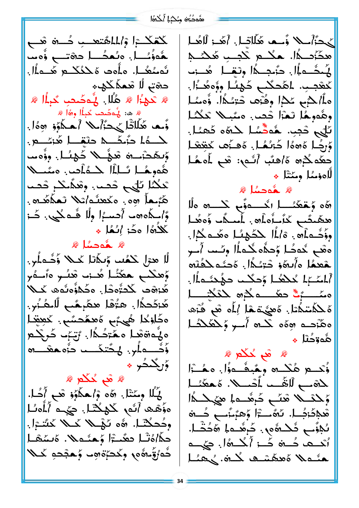كَمْكُمْ! وْالْمَاهُتْعَسِبِ حُسْرَةً هُسْمَ هُوزُـُــا. وبُعجُـــا دەْتـــى زْەيب نُمسُعُط. مِلْمَد هَ حَكْكُــم هَــمِلْل. دەتو لا مُعكّكى، ه تَدْرُا ۾ هُلَا. رُهُ صُحب كَرِدًا هِ ۾ ها: قُڪْصَفَ گَيلًا وِهُا ۾ وَّسِم مَكْلاَتْل كِحزَّامِيلا الْمُسْلَاقِ وَوَالَ حَـــهُـا حَبْحَـــه حنَهَـــا هُزَــْـــمْ. وَبِمَعْدَى اللَّهُ مَنْ اللَّهِ أَحْمِيلًا فَلَوْمِ وَأَوْمِدِ تَعْكُمْ تَأْتِيج دْهَبٍ. وِهْكُنْكُمْ دْهَبَ هُبُماً ٥٥. مكعنُداتِلا تمكَّعُده. وًْاسكُوهِ- أَحْسَبُوا وِلًا هُـوجُي. حَــز كَلَّهُ ا هَذَا إِنَّهُا ﴾ R Lisai R لًا هزل كَمُس وُبِكَٰنَا كَبِلا وَّشُمْلُنِ. وُهكْت حَمَّتُا هُــزت هْتُــو ەَيَــەُو هُزرهُ حَدَّدُوْدًا وَحُمْزُونُوهِ كَبِيلًا هُزدُهدًا. هِ ُقَا همَّرِهُبِ لَاحكُ ُبِ. ەكلۇكا ھُيبُّ مُعمَّحسُّ مِدْعِقا ەلمەققىل ەھتكىلا. ئېيى كوپكى ؤَهُـــــــه اُبْنِ. لِيَحْتَكَــــب حزُّه هغْــــــه ۇرېڭىگو ھ ه مَع مُكُم هَ لَىٰلًا وِمَثْنًا. ۞ه وْامِمْكُوُّو هُم أَحُـا. ەؤْھْھ آىُّە كْكِيكْتَا. كَيْݣَ أَلْمَانَا وحُحكْتْما. ۞ه نَهْكُلُّهُ حَمَلًا حَمَّتْتِمِلُّ. حِكْاهُتْبَا حِعَْتْوَا وُحِئْـوِيْلَا. وَيَسْعْبَ كُهرُوَّىهُ٥ وكُكرَة وه وُهبْحهِ كَــلا

حُجِجَةٌ سِحِدٌ وَّسِعِهِ مَجْلَاتِهِ فَيَ أَهْدِ لَلْهُمَارِ هكَرْدِــدًا. ـمكــم كَجِــبِ هَكَــكِ لَى شُــولَما لِ حَنَّ بِــدُا وِنَعْــا ۖ هُـــزم كَعْدِـبِ. لمُحَكَّـب حُـهِـنُـا وِوُوهُــزًا. هِأَاكِمِ مَكِرًا وِقْتِهِ خَتِمُكُلٍّ وُهِمُـا وهُومِهُا تَعْزَا دْحَب. وسُبِيلا تَحْكُلُ ئَايِي دْجِبِ. هُەشْمَا لَهُ هُ دُهَا. وُرِجًا وَهَوَا حَرْبُهُـا. وَهِـزَمِ كَمِّعْهَـا حعَّدهُمْ هَ/عَبُّ أَنَّدٍ: مَّع لَمَحْل ألأدفئيا ومنثل ف 2 Lisan 2 ةَهُ وَتَحْتَكْسُمِ الْكُسْسَةُ عِنْ الْمُسْلَمَةِ وَالْمَا ھھَىصًا كَلَّىـلُّەـلُم يا مَــكُ فَوھُـا وَفُّـْمِلُرْهِ . ةَالْمَّا لِلْحُجْهُـٰلِ هَقْـِمِكْرَا . ەھْم خُەجُىل وُحِدُّە خُـْھال وِنَـْـب أُسو هْعَمُا ه/ۡدهَٰۏ تْـٰٓئِكُمَّا. هُحِنُـٰهَ كَفُنْه أَلْمَمْهَا مُحْقُداً وُحكْب حَهُجْسَمأَا. ەمئىستۇڭ دەكسىمىلاھ لىنىڭشىسىل ەَݣْكَمْتْݣْدَا. ەَمْيَى صَدْرِيْهُ مْشْتْمْتْتْكْلْمْ مْتْتْكْلْمْتْلْمْتْلْمْلْمْلْمْلْمْتْلْمْشْت هقَّوْد هِهُمْ كَلُّهُ أُسِيرٍ وَلِلْعَلَّادُ ا هُەۊحُىْل ﴾ ه شم مُكّم ه ؤْكِيم هُكْدِه وِهَبِڤُيودُل. هِمُبْزَا لِحْتَىبِ لْأَشْبِ لْمُصْلًا. هُ هَعَنُا وَلِحْتَمِلًا شَنَّعٍ خَبِشُــه! مَتَيْهِــٰهُ! هْجَدّْبُــا. نَهُ ـــٰٓۥٓا وَهَبۡنُب حُــة ئَجْفُبِ فَكْـدُهِ . كَرِهُــمْ لِمَكْتُــا. اُنْتَ هُـ هُـ مَ نَ أَنْكُـ هُ ا . حَيْ لمنصر فكالمحتشفة كامثع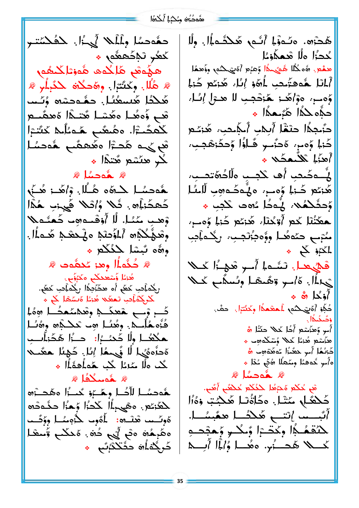هُدَدُوه ومُكْبِرٍ أَلَكْمَا

حفُّحسًا ولْمُلَا لِّي ُوَلِّ. حَفَّحْسَّتِ كْتْݣُو لْجْكُتْتْتّْقَامْ \* هَهُوش هَٰالُهِ هُوزَالَمْعُومِ @ هُلُّا. وِكْتُتْرَا. وِهَجْكُنْ لَكْتَبِلُو @ هَٰٓڵۮؙٳۦۿؘٮٮٮڠۢٮؙٳ؞ۦڝڡ۫ٞڡڝؽ؈؋ٮؙۜٮٮ هَم وَّەھُــا ەھُـْسَــا هُـْــدَّا ەْھـھُــــــم كْمَضُـْتْل ممُعمًى هُـمىُلُـمْ كَتُنْتِرَا شاعفُ بِنْفَعَةَ وَحَقَّ مِنْ مِنْهَمْ الْجَمَعَةِ كُمْ هَنْشُمْ هُنْݣَا ﴾ A Lisai A هُوصُلِ لِحَدَّةُ وَعُـلًا. وْٱهْدَ هُــَيْ كَهْكُوْلُهُمْ. ثُلا وُٱتْلا فَهِينِ هُمْٓا وْهِبْ مُبْشَلْ. لَا أُوْقْسُوهِبْ كُمْشُوبْلا وهَدْيُكُمْ مَا أَلْزَحْتَمِ وَيُحْشَمِ هَٰدَاً . وَهُوَ بُسْلِمْ لَمُكُمْ ﴾ & حُثَم*اً*ا وِهز مُحقَّدت & هُزئا وُسْعَدِكُم مَكَرُوُمٍ. رِكْد}ْدب كَعَّى أَه مَدَّآدِهُ! رِكَّدُ∔ْدب كَعَّى. كْرِكْمُلُوبَ تَعْقُلُهُ هُوَيْاً وَيَشْهَلُ كُلِّ \* كَهِ وَمِن هَعْكُمْ وِتَعْمَعُهُمْ اللَّهِ وَالْمُحَمَّدُ اللَّهُ فُنُعهُلُك، وِهُنُـا هِـ تَحكُبُره وِهُنُـا هكْعُــا وِلًا دَّحْـُــرُا: ۖ دــزُا هَدَٰذَلَٰــب محْدَوْهِ الْمِهْمَ الْمَالِيُّ الْمَحْدَثَةَ الْمَرْوَهُ وَعَامَهِ مِنْ الْمَرْوَةَ وَمَامَةً كُد ولًا مَدْمُلاً كُب هُواُوةُ أَل \* R Léluck R هُوحِسُــا لِأَحُــا وِهُــَزِوْ كُنــزُا وهُجـــزْوِ لمَعْنِيْهِ. وهَي الْمَحْرَا وَهُ أَحْدُثَهُمْ الْمَحْدَدُهُ ەُوسُــىد ھْـلْـــرە: ﴿ لَمُوَدِ ﴿ دَٰٓوِمِنُــلَّا وَوُشَّــد ەھْبِعُةِ ەقْع لَى دُة. ەَلكىم تُسْعْل كَرِبْكْفَلُهْ حَثَّكْتَبَ*نَّ*سِ \*

هُدْرَه. وَنُدَوْۤا أَنُد هُكْدُداْ. وِلَٰا | حُدَٰزًا ولًا مُعجَّفِطُ همهُمْ بِمَكْرَبَةٍ وَالْمَرْهَةِ الْمَرْهَدَةِ الْمَامِعَ وَأَحْمَلْهِ الْمُسْتَحَمَّةِ وَأَحْمَلْ ٱلمِلْنَا هُوَدْيَّىجِبِ لِمُؤْذِ إِنَّاءٍ. هُدْيَكُمْ خُذِياً وَّەمر، وَوْاهُد هُرْشَجِبِ لا هـْوَلِ إِنْـا، |حِبُّه حَدًا هُبُعَدًا \* حَبْجِدًا حِنْقَا أَبِهِبِ ٱلْجُمْعِبِ، هَٰۂِسُم كَبْلِ وُهبٍ، هُحَبُبٍ قَـٰاؤُا وُحكَّرْهُجِبِ، أهنّا للكّمكه \* لْمُسْمَضُمِنِ أَهَا لَكْجِسِنِ مَلَاجُمَّتَمِنِينَ هُزَعُم خُزَلِ وُهَبِّ وَيُوَجَّدُونِ لَلْمُنَا وُحثَّكْمُلا، إِنَّـهِ دُلَّا مُهجب ﴾ هعَنْنْا كُم أُوْكُنَا، هُزْكُمْ خُزْءًا وُوْسَنْ مُبْسٍ حَمْعُط وِوُّەبُرْتَجِبِ، رِكْـٰهَلَمِب لمكبَّرة كل \* قَصْحِصًا. تَشَمَّأُ أَسِرٍ هَيْءًا حَكَّ كَمَاءًا. ݣَاسِرِ وْهُمْقَا وِنْسَلَّاحِ كَمَلًا  $\bullet$   $\bullet$   $\downarrow$   $\circ$ دُبُو أَهَنِيكُم لَمَعْمَدًا وِكَتَبَرَا. حَمَّ. أَسٍ وَهٰذَهُم أَحُل كَمِلا حَتَنُلُ قُ هَزَسْمٍ هُزْئِلٌ كَلاَ وُسْكُمُومٍ \* كَرْنُهُا أُسِ حَعَّدُا عُوَّهُوَ وَ ۖ ه ُبِ نُدهدُا وِمُعاْا هُجُ مُدْا ﴾ A Lisea A قَعِ عُكُمَ مُدَمُدًا لَكُكُمْ عُلَمَّعٍ أَهُبٍ. كَـٰلاهُـلِهِ مَتْنَـل وَكَاةُنَـل هَٰـٰكِـبَتِ وَهُۥُلْـ أَتَبِـــب إِتتـــم هُــلاهُــــا هِـمَّبِـسُـــا. لمنقشجا وحمقوا وكلو وحقحو كَمِيلًا هُجَمُّنُو. وهُمَا وُإِيْلًا أَبِسِيلًا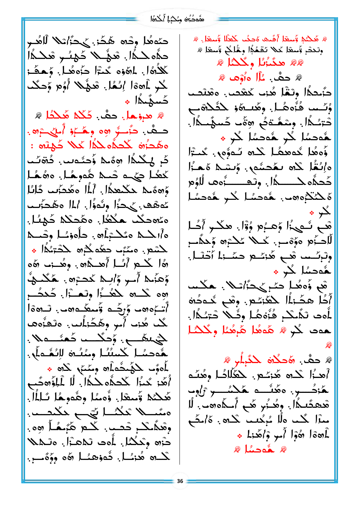هُدَدُوه ومُكْبِرٍ أَلَكْمَا

حمَّمعُا وِدْهِ هَٰذَ: حَكْمٌ الْأَهْــو حِفْهِ حَـٰهُا . مَحْمُـــهُــ كَجِنَــبِ مَحَـــهُا ݣْلْاهْلْ. لْمْهُوْه كْتْرَّا جَزْهِ هُدْلْ. وُحْقّْعْ كُمْرِ ـأَ7هَا إِنْـهَا. شَؤْيَلا أَوُمْ وَحَكْمَ كَسِيمُكُمْ \* @ هروها. حقَّ. كَكُمْ هَكْدًا @ حَتَّفٌ. حَنُسْرٌ وَهُ وَهَّـَزُوْ أَمِلَىٰــْرَهِ. وهَدُوه كَحِدُّه حَدًّا كَمَلا حُمْدُه : كَرِ لِكُلْمَا هِءُىكَ وَْحِتَـٰهَ بِ دُهْكَـٰب كَعُمَا حَيْءَ ثَمَـدْ هُومُـلْ. وهُمُـلْ وُهوَّىه حكْتْحِدًا. أَلَمَّا وهُجَرَب كَانَا حَدَهُ مِنْ الْمَارِ. [1] وَتُوزُّلُ: [1] وَهُدَرُّب ەئەدىك ھىكغا. ەھَدىكا كېيئا. هأربكيه وئكثرأره والمواطر وضبط لحشع. مَمَّبُّ حَعَّه كُرْهِ لِحْشَرْكُمُ \* هُا كُمْ أَسْلَ أَهْلُوهِ . وِهُنو هُوه وَهَنَما أَسو وَأَلِيما كُحِبْرَهِ . هَكْسِيْ ہوہ تکسی کھُنُوا وِتعسْوَا. کُکھُنز أَتْتَبُوهَمَ وُرِجَعٍ وَمُعَكَّدَهِمَ. تَبْدَهُ ا ِّكْ هُـْمَا أُمو وِهُكُـٰهَاماً. ەلىكەُ00 لمثيدة ب وُحكْسه حُمنُســه هالا . هُوجِسًا كُمِسُّلَا وِمُنُـٰهَ لِلِنُهُومَٰلِ. لَمَاهَوَں لِلْكُمِنُدُماتِهِ وِسَمَعَ، لَاتِهِ ﴾ أَهَٰذِ كُنُزًا ۖ كَحَذُهِ كَـدًا ﴾ لَا أَلْمَؤُوهَب هَٰكُمْ وَّٰمِعْلَ. وْْمِمُلْ وِهُومِعُلْ تُـٰلِمُلْ. ەسّىللا تىگلىك ئۆسىم مىكىدىب. وثَعَمْكُمْ دْمَـْمْ. ݣُـْعْ هَٰبُنْهُـاْ رُهِهْ. حْزَه وتَكْتُلُ. لمُوت تَعْطَرْاً. وتَــمْكَلا لْكُسْ هُزْسًا. ثُمْوْهْسًا 6ْ وَوَّەْسْر.

*®* هَٰكُمْ وَمَنْعَلاً أَقَنِعَا وَجِكَناً كَلَامَاً وَمَنْعَلَ ﴾. وتَحْدِ وَّسْعَا كَلا تَقْمُدًا وِجَّاكُمْ وَّسْعَا ۞ **& هگُهُنا وِگُلُّ**ا ه **& حَقٌّ. عُلَّا هُ أَوْهَى هُ** حَنْبِيجُا وِتَغْلِ هُنِي كَعْدَي. وَهْلَتِي ۇئىس قُزُەھُـا. وِھُنىھُوَ لِلثَّلَادُىم دْتِنْـدًا. وِسْعْـتْدُمْ وَةًــ كَـسْهُــدًا. هُوصُل كُر هُوصُل كُر ﴾ وَّەهُا يُدەممُا لَكِ صَوَّى. يُحتَّ ەإِنْغًا ݣْلَا بْكْمَا بْمُحِشُّوبْ وَيْسْكُ وْهْدًا كُحِدُّه كَــــــدُّا. وِتَـْفَـــــــزُّهِ لَاؤُمِ كَتْݣُورُوم، هُوصِمًا كُلِّ هُوصِمًا هُم نُـمِيٰٓۥۢا وَمـَّ و وُوَّا. مكـَّـر أَحُـا لَّاحِزُهِ وَوُوْمِي. كَمَلاً كَلْثَرِهِ وَجَدَّمَتِ وِنْبِسْتِ هُجِ هُبْسُمِ حَمَّـبَا أَخْسَا. | هُەدىمًا لَكْنِ ۞ هُم وَهِ هُما كَمْ يَحْتَرُكُمْ ، هَكْسَ أَحُل هَحَـٰٓٓٓٓٓٓٓہٰٓاً ۖ كَهُٰٓٓٓٓٓہٗٓٓ کُمِّعۡوَیۡہٖ ۚ مُـُـوَحُش لِمُعت لَمُنْكَبِ فُنُفَعُط وَشَلًا تَـتِنُـكُلُّ. هدف لُكُو & هَدفُكُمْ هَٰزِفُكُمْ وِكُلْكُمْ & حقٌّ. وَحَكْفُ كَثَبِلُو & أهدًا لكن هُزئت . للظَّلائة وهُنَّت هْتَعَصَّدُاً. وِهُــُر هُــع أَــكَاهِ مَــ الْـ مِنْزَا كُتَبَ وَلَا تُرِجُعَتْ كَلَاهِ ﴾ 6انْجُع ـ أهدَا اللهُ أُس وْاهْدَا \* R Lisai R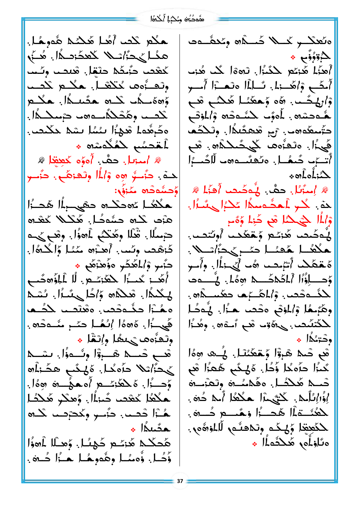هُمصَٰٓرُه ومُكْبَا أَلَكْهُا

ـمكْع كْحب أَهُـا هَٰـكَـه هُومُـا. هَدُاءٌ حَدَّاسًا لَكَعِجَّاتِهِ). هُــَزَى كَعْدَبَ حَبْيَكُمْ حَنْقِلْ. مْنْصَبْ وِتَّسَبْ وتصنُّوها مُتَكْفَىل هكْدم كْحم ۇھۇسىگە ئىس ھىئىلىگا. ھگىم لْكْتِبْ وَهُتْكُلُّفْتُ وَهُ حَرْسَكُمْلُ. ەڭرەڭما ھُئ1 ئىسلا ئىشلا بىلگىچىلى . أتمصس لمكُمئده م ه اسزار. حقَّ. أووِّه كَعِعْقا هِ هـة . حزَّمـرٌ وه وْإِلْمَا وِلْعَرْهُـع . حزَّمـر أَوْحِشُوشُهِ مَمْزَقَ: مكعُما مُعجَدُه حقيبٍ أا هُدءُا هُوَ لَده حسُّوصًا. هُنْد لا كَعْدُه دَمِسُلًا. تَعْلَلُ وِهَنَّكُمْ لِمُعَهُّورًا. وِهْدٍ حَكَّمَهُ دُوْهَمِ وِنَسٍ أَهِنْزُهِ مِنْدًا وَالْحُدَّةُ!. دَّمَى وْٱلْمُكَى هَوَهْتَهُمْ ﴾ أُهَد: كَسْرًا لِكَعَّنِّتُــمِ. لَا عَلَيْهُوصَبِ لْمَسْمًا. هَكُمُه وَٰاكُمْ حَمْلَكُمْ أَمْكُمْ وهُــْزَا حَدُّـوْتُحبّ وَهْتَحَــب كَحُــم كَهِيدًا. كَامَا الْمُسَا حَسْرِ مُنْــودُه. وتعزُّهما والصُّرَ معنُّفه قْبِ دْسِيمْ ھَبْرَوْا وِئْبِدَوْا . بِشَبْيِمْ كَحَزَّاتِكَ حَلَّوَهُ مِنْ مَا مِنْ مَنْ مِنْ مِنْ مِنْ مِنْ وَحِسَرًا. هَ حَظَّرَسُــمِ أَهْمِهُـــةِ وَهَا. ِ هَكْفُا كَعْدَتْ شَيْئًا. وُهكُو هُكْشًا هُــْزَا تَــْمــ، حَزْسـو وِكْحْرْمـــ، ݣَـــْه هڤىلاًا ∻ هُحكُّـِهِ هُـٰٓتُـُـمِ خَهْنُـا. وُهـُلَّا لِمُعَوُّا وَّحُــا. وْهمْــا وِهُومِـمُــا حَــزًا حُــزة.

ەئعنكسر ئمسلا كىسىگە وئىدەًسەت  $A$ وْوُوْم أَهْذَا هُ:عُمْ لِحَمْدًا. تَمْ قَا كُبْ هُ:ب أَمضَــ وْاهْـــزلم. تُــالْمَا هَـْــوْا أُمـــو وْارِيْحَـْـَـٰ. ۞ه وَحْكَنُـا هَٰلَـٰـُم هُــِمْ هُـهحمْده . لَموُم حمْـُـهحْده وْالموْتْـم دَّمْسِعَدەم. كَمِعْ شَعْدَهُمَّا. وَتَكَنَّصُ فَيْءًا. وَتَعَزَّدَهُ لَكَيْضُلُّكُمْ وَيَمْتَدَيْنَ أَتَّــَمْ حُــمُــاً. وتُقتَّــدهب لِّأَحُـــرُا  $\bullet$   $\circ$   $\mathring{\mathring{L}}$   $\circ$   $\mathring{\mathring{L}}$   $\circ$   $\mathring{\mathring{L}}$ *ِ هِ إِس*ْزُلُلِ. حقَّ فُوَجَلْ مَنْ أَفْزَلَ هُ حَةَ . كُمْ أَمْعَدُ الْمُسْمَدُ مِنْكُمْ . هَـٰهَ: وْالْمَا حَيْحَمَا هُو حُنِا وَهُ و لمُءكَّدت هُزْسُع وُحْقَدْت أُوتُنْفِت. مكعُما هَدْيا حِيْبِ حَزَّائِبِ . ەْھْكَمْد أَنْبْدىد ھْد كِرْجْلَا. وأسو وَحَسَاؤُاْ أَلْمَكْكُمْ هِهْا. فَسَدَدَ لِمُشْدَدْهُمْ. وْالْمَسْرَمْ دْهَسْلُمْ». وهَّبُـمًا وْٱلمْوْتُمْ هِتْدَتْ ـمـزًّا. لِمُّـهَجًا لِكُتْنَمُصِ فِي الْمَوْتِ هُمْ أَسْوَاهِ فِي وَهُدُّا ودْنِكْلُل ﴾ هُمْ شَيْءٌ هُـرَةٌ! وَحْمَكْنُنْا. إِنِّــدِهِ هِ16 كَمْرًا حَرَّەكُل ؤُجَّا. هَلِكُم هُعْرًا هُم تْسَمْ هُلِكُلّْ. هِ فَهْسُـة وِتْعْنْسِـة إِذْاإِلَىٰلُمِ . كَتَيْبِ أَلْمَ هُكُفُل أَمِكَ دُهُ . لحَكْمِيقِا وَيُهَدُّه وِتَنَاهَدِهِ لَلْلْوَرْهُمِ . ەنُاۈلُەم ھُلاَثْماُ ا \*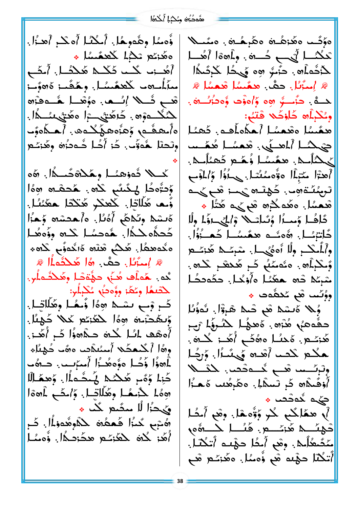هَمحُنُوه ومُكْبِهِ أَلْحُدُا

ؤْهِمُا وِهُومِهَا. أَمْكُمَا أَهكُمْ أَهْمَا. ەھْزىم ئىژلم كىھىسا . ملَمْلُموم لْكَعْفُسُمْ. وِهَقَم: ݣَاهْوَم: قْبِ ثَــْلاً إِنْــف ِ هُؤْتَنَـا ۖ هُــَـْقَاقَاتِهِ لْمُنْدَوْهِ. دُاهُتَهُتْ إِلَى مَوْتَهُمْهُ . ەأمھقْـە , كۆۋەھكىكـەھ. أھـكەؤب وِلْحِلْل هُوَوُّب. هُ; أَهُـل شُوعرُوْه وهُزْسُع كَـــلا ثَــْوَهْــَــا وِـمَّـلاَةْتُـــدًا. ۞ه وَحَتُّوحًا لِمَحْسًى كُلُّهَ. هَجِمْتُ وَوَٰا ؤَْسَهُ هَٰكَلاتِا. ۚ كَعَنْدُرِ هَٰـٰذَٰذَا حَعَّنُنَا. كَاسْتَمْ وِتُمْاهَىٰ أَكْثَلُ: ۞ مَصَدْتُهُ وَحَدًّا كُحِدُّه جَدُمُل. هُوجِسُط كَنْ وَوَوْهِ وَلَ ەئدەھكا. ھَكُم قْنَة ەَائْدۇم كەھ ـ 1⁄2 مِنْ مِنْ مِنْ مِنْ الْمَكْتُومُ أَلْمَعَة مِنْ الْمَحْمَدِينَ مِنْ الْمَسَلَّاءِ مِنْ الْمَسَ لُّدهِ. هُدلُك هُنَّى حقَّةقا وِهَٰلأَحدلُو. للقلعُا وِتَكُوْ وَوُّوْطُهِ مُكْلِمُوْ: . كَمِ وْبِ بِشَكَّ وَهُا وُحَصًّا وِهَٰاتِهَا. وُبِعْجَنَّيهُ وَوَٰا لِمَعْنِيْهِ كَلا جَهْلًا. أُهڤف لمُبْل كُنْ حِيْهُوْا كُنْ أُهُدَى وهُا أَكْتَمَكُمْ أَسْتَلَافُ وَهُبَ دُهْتُهُ: ـأَرْهُ أَوْ ذُـُــا هَوْهِ هُــٰٓ أَ أَمـٰهَ ِـــب حــرهُ ب كَٰزِا وۡهُم هَٰذَا ﴾ فَصَدَٰاً. وَهمَالًا هِهُا جُنسُا وِهُلَاتِيا. وَٰائِفٍ أَهْوَا يُحِزَا لَا سِئَيْمِ لَکَ \* رَّەْشِمْ كْمَزَّا كَـْمَكَّةْ لْكَـْمُوشُدْفِئَالْ. كَـر أَهُدَ كُنْ كَعَدْكُمْ هِجَدْحَكَمَا. وُوسُط

ەۆكسە ەھزىمگە ەھرىمگەن ، ەسكىلا تمكَّسا أَيْبٍ حُسْرَهِ . وِلْمَرْهَا أَهْسَا لْجُدْعُونَ حَبْثٌ وَهِ فَيَحْلُ كَرِضَهُا ﴾ *۾ إمرائل حقّ. همُسُل قمسُل ۾* لمَسَّةً ، حَزَّمَتُوا وَمَ وَادْوَى وَادْتُرْتَسْرَةً ، وْكْبِلُو كَاوْكُلا قْتْبُا: همُسُلِّ وَهُمِسًا أَهْلُومَاُقِ وَ كَعِمًا حَيْكُما أَلمُعْسَىٰ. مُعْسَماً هُمَّسَت حْكِلُكُمْ، هِمُسُلْ وُهُـُع كَعِنْلُكُمْ. أَهْوَّا مِتْبَلًا وَوُّوْمِمُنُدَا. حِبَّاؤُا وَٱلْمَوْمِعِينَ صرتى بىكە ئىمرى ھىگەڭ . ئەيەقتلىنى ئا هما. مَعْمَلاً وَهُدْمٍ مِنْ النَّقْطَ كَلِّصًا وَمِسْأَا وُتُبَايَبِ وْالْمَيْخَاوَٰا وَلَا جَانِبْسًا. ۞هشُـه همَّسُسا جُمِيُّؤُا. وأَلَمْكُمْ وِلَا أَهْوُلِ لَى مُبِسَكَ هَٰذَكُمْ وَْكْلِمَاهِ فَ مُثْمَنُهُ كُلِّ هُدَهْدٍ كُلُّهُ . مْبِنِّهِ دُهِ هِعَنْدَا هِ أُوْحُدَا. حَكَّدَحُدَ |ووٌلُت هُم مُدهُّدت ﴾ [ ءُ إِلا أَسْدَا هُم شَدَا هُبِوَّا. ثُوزُنُا حفَّمه هُنْزَه. هُعهُا لِمُنْوَهُا رَبِّ هُزئِي هَ دَيُنَا وَهُكُمْ أَهُدَ لَكُنْ . لْمَكْتُمْ كَتْتُ أَهْدُهُ فِي مُدَّاً. وُرِجًا وِلْبِنَـــب هُـــمِ گَـــمْتَــف. لِلْقَـــلا أَوْقَىكُاه كَرِ تَسْكُلُ: هَكَرْهُكَ هُجَدًّا حى، شەشھە ﴾ ممَاكُبِ كُرِ رَّوُّهِ هَا. وقَعِ أَحْلَا دْهِنَــــمْ هُزَــَـــمْ. فَنُـــل كــــوهُ مِ مَكَمَعُلَٰهِ. وقع أَمحُا حهْبِ أَتكْتَا. أَتكْلَأُ حهْلِه هُم زُومُاً. وهُنَّكُمْ هُم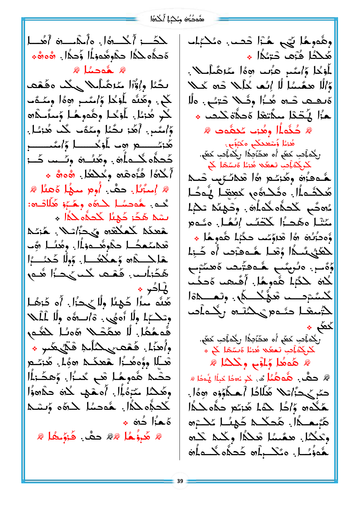هُدَدُوه ومُكْبِرٍ أَلَكْمَا

لْحَكّْ أَكْسُرُهُ أَنْ وَأَسْلَسُوهُ أَهْسَلَ هُحِدُّه حَكُّا حَدْوِهُومْ(أَ وَحَدًّا). ۞هُ وُهُ: R Lisan R بِحَمْلِ وِ}وّْأَا مِمْرَهُما كُمْ لِلْمَالِمِنِينَ وَهُمْعَتِ ݣُلْ. وهُنُه لُمْوُكُلّْ وُٱمْئِبِ هِهُۥ وَمُنْهُب كُمْ هُٰذِمًا. لَمُؤْكُما وِهُومِهُما وُمِثَلُوهِ وِّإِمَّىبِ. أَهَٰذِ بِشَمَّا وِمَمَّهُ ۖ كُبِ هُٰذِيَا . هُذكِ مِنْ الْوَكُنْ الْإِمْمَانِينَ كَحِدُّه كُــْـه أَنْهَ . وهُنُـــثَ ونُـــب كَـــز أَكْثَرُا قُذُهِ مَنْ وَكُلّْهَا. ﴿ وَقَامَةٌ & إميَّتُل. حقَّ، أوم ميخُل وَهنَّا \* تُحد، هُدمسُه لحدهُ وهُجُو هُلُكَتَافَ ىشم ھَڪُر ڪُهِيُا گُڪمُه ڪُال ۽ تقعكه كمكفته ويحتزائيلا بتحزيمه تَعجمَـمَـمُــــــا حجَّوهُــــومَــاً. وهُــُــا وَّف هْلِكَ جْنُ وَحِكْفُ لِ. وَوِلًا حَكْشُوا هَدَٰأَسٍ. فَقَمَ كَبِّ دَٰأٌ شَمِعَ لْهَادُو ﴾ هَنَّه مِمَّا حَمِيًّا ولَّا حَجَّا. أَه جَرْهُما وِيْكِيَا وِلَا أَهْفِي. ةَاتِيْهُمْ وِلَا لِمَلْكَلا فْمِهُمَا. لَا مِكْتَــٰهُ هَوسًا لِحَقُـمٍ وأمثل منتقر لأشكر بمعقف بانموأو هْنَاا وِوُهِ هُمْ أَا هْعِكُمْ هِهْا. هُنْكُمْ حصَّه هُومِمًا هَم حُدُّا. وُهكَّنَاً وِهَٰكُمَا مُتَوَمَٰٓأًا. أَهمْها لَكُنَّ حَكْمَهُوَّا كْحَذُّه كَذَا. حُوصِبًا حَدَةٌ وَيَسْكُ  $\bullet$   $\bullet$   $\bullet$   $\bullet$   $\bullet$   $\bullet$ @ هُدِوُهُا @@ حقَّ. فَرَوُحقًا @

وِهُومِهُا نَبِّي هُنْزَا تَحْبَ وَيُكْبَلُت هَٰٓدُدُا فُٓوٓم شَرَٰدُا ﴾ لَمُوْكُمْ وَٱمْنَى هِزْتِ هِوْا مَدْهَلْكُمْ. وَٰٓ)أَلَا هِمُسْلَا لَٰٓا إِنَّمَا خُلْلًا دُهِ خَلَلًا هُتُعْتَ دَهُ هُـُزَا وِثَـُلا دْتِبُ وَلَا هُ:ا لِمُتَحْلَ سِلَاتِعْلِ هَدِئَةَ كَنْصَبِ \* *®* حُذُماً! وهُنِ مُحصُّوب *®* هُنئُا وُمْعُدكُم مَكْبُوَّى.<br>رَكْدَاْتِ كَتَى أَه مِكَّرْتِدًا رَكْدَاْتِ كَتَى.<br>كَرَكْدَاْتِ تَعْتَلَهُ مُنْتَا ةَسَتَقَا كَلَّ هُـهوَّزَة وِهَٰٓئِـُـمِ هُ أَهْلاَنَـٰمِّ بِ شَــلا هَكْشُماْل هِ مُكْشُومٍ كَعِفْقِطْ لِمُوصَّلِ مُهمَّم كُحِثُمْكُمُلُهُ. وشَهْبُط تَكْبُلُ مِّتْهِ وهُدْ: كَدّْسُ إِنْعُهِ. وشُومِ وُّەدْئُرُهْ ﴾ أَهْلوَّسُكُمْ دَكْبًا هُومُمَّا ﴾ لِمَعْنُى سُلَٰهُ! وُتَعَـا حُـُودَت أَو خَـٰذِه وَّەْسِر. ەلگومەس ھُلەڭنىڭ مەھمەتتىكى لْحَةِ لِحَكَمُ الْمُعْوِيمًا. أَقْتَنْفُ هُدَخُتْ كْسُبْرِئْتَ شَوْكُلْسِكُمْ. وِتْعَسْلَاةَ! لأسقط حثمون ومشاركهم .<br>رَبُّد،أحب مُعَّم أَه هخَّاجِدًا ريُّد،أحب مُعَّم. كَرِكَةُ أُمِبَ تَعْقَدُ هُرْءُ هُنَاهُ لَيْمَا كُلُّ ﴾ @ هَءهُدا وُلمْوْمٍ وِكْلَدًا @ ه حصٌّ . هُوهُمُا مُن حُرِ مُومَا عَبِيًا هُومَا ه حِمِّي حَزَّاتِي هَٰكَلاَحُل أَحِيكُوَّوْهِ وَوَهَلَ. هَنُدُه وَاحُل حَدًا هُنهُم حِدُّه حَكَّمًا هُبُعِيدًا. هُجكْد جُهِنَا مُحْبُوه وتمكُمْل: همَّمسُل تَعْلَمُل وكُنْهَ كَلَّهُ هُووُسُــا. ويُكْــرِلُمْ هُجِدُو كُــولُمْ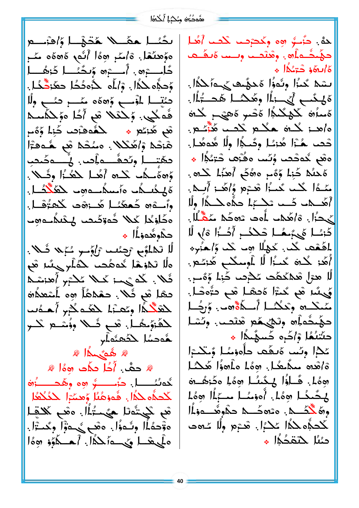هَمَدُوهُ وَحُكْبَا أَحْدَهُا

ەۆھئقا. ۋامىر ھۇا آئى ۋەۋە مىر دَّاـــــــْرَه . آَـــــــْرَه وَىـدَّـُــــا دَرْهُــــا وَحِدُّه حَكُمًا . وۡ/لَم حَدُّوحُكُمْ حَعَدَقُّخُـا . ديْتِــا لمْوْـــــــــ وُههُه مِّـــــــــ ديُــــــ وِلَا فُهِّكُبٍي. وَلَحْقَلَا هُم أَجُا هَوَلِكَلِّمِيكَ مْعِ هُنِّكُمْ \* لَلْعُمْعَتْهِتْ خَيْلًا وُمُّتِي هُرْضُمْ وْاهْتُلْمْلّْ ، مِمْشُمْ هُمْ هُـهِ مْتَوَالْ دهُتِـــا وِنُدفٌـــواْمد . فٌـــوصُمب وُههُمكُ لَكُهُ أَهُلُ لِمَعْذُا وِئَكُلاً. ەلمىدىك ەئىسكىدەم ئىقتىدا. وأَسِدْهِ كَعِعْبُ لَا يَرْهُد كَعَبُّوْسٍ . ەكاۋگا كىلا ئەۋكىصا كىڭلگىمھە - حكْوِهُدۇم<sup>اً</sup> (م لَّا تَمْلَؤُم رَّجِئْكَ رُاوِّسِر سُرِّيْهِ شَكَلاً . ملَّا تَكْفِيهَا خُوصُصَا بِكَمَّارِ بِكَمَّا أَو ئُمْلا ، كَمْهُ يُهِمْ كَمِيلا كَلْشِهِ أَهْزَمْتُمْكَمْ حَقَا مَن خَلا. حَمْدَهُا وه لِمُتَعَدِّهَ لمفتَّكُما ومُعنَّد لمكَمكْبِر أحمَّت لمُفَرَّمِي*عُمِلَ. هَــِ* ثَــٰلاً وِزُسْــٰمِ لَمْــرِ هُ مِنْمَا لِمَحْمَدُونَ<br>هُ الْمَرْمَةُ هُ **& حقٌّ. أُحُلُّ حكُّف وهُ! @** يُدِينُكِ أَنْ حَزْمِتِ وَ وَهُدَ أَنْهُ كْحِدُّه ݣَدَار. فُوفِعُنَا ۖ وَمِيَّتِهِ الْكَنْكَمَارْ ۖ وَلَيْتَنَّارَ ۖ وَلَيْتَنَاهُ ۖ وَلَيْ سْ كَيْتُهْ لِهُ مَنْ الْمَشْرِيمُ مِنْ الْمَشْرِيمُ مِنْ الْمَسْرِيمَ مِنْ وَوْحِمُلًا وِئُووُّا. وقْع يُحِوْرًا وِكُحِبَّا. اهْمِ مَالِكُمْ أَصْلَابِ أَعْصَلُوهِ مِنْ الْمُسْتَمَرَّةِ وَالْمُسَامَّةِ مِنْ

حةً. حَنُبٌ وه وكحرْميا لْأَحْبَ أَهُـا حَكَّمَدُّده أَنَّ وقَتَّصَد وِسَمَد هَ تَفْسُدَ كالعكاف شتكل \* بشكر أمْرِدُ وَاللَّهُ وَاللَّهُ مَا يَجْمَعُ اللَّهُ الْمَسْلَمَاتِ هْلِحُبِ لِّكِ زَلَمَا وِهُكُمَا هُدَّ زَلَمَا. ەْسارە كىلگىدا ەتىر ەھىب كىھ ه/هــز لكــره هكــم لكصــه هُنْزَكــم حْصب هُنْ ا هُنْـٰا وِصَّـٰهُ! وِلًا هُدهُـا. ەھْم ئُدەتھە ۇئىد ەقْبْھا تْـتِنْكُما ۞ كَحْتُمْ خَذِا وُمَّى وَهُجَمْ أَهْذَا لَكُمْ. مَنْدًا كُنْتُ كَتْدًا هْتِرْمْ وُاهَٰدْ أَبْتِي. حْمَدُا. وْاهْلِم لْمُعْتَ لْمُعْمَلَا. دَّنَـٰـٰ هَيْ مَـٰـٰ كَـٰـٰ أَكَـٰزُا هَ\بِ لُا لمَفْقِف كُف. كَتْهَلَّا هِفْ كَتْبَ وَٱلْعَنْبِيَّةِ أَهَٰذِ كُنْ كُنْزَا لَا ـُمُوسِكُم هَٰذِكُمْ. لًا هزل هُمْكُمُّت عُلَامِت خُذِا وَّەُتْبِ. يُهمَّم ثُمَّ أَسْتَمْ هُمْ مَتَّوَهُمْ . وَلَا يَسْرِهِ سَىكْدە وِيْكْسَا أَسْكَةٌ هَبِ وَرَئِسَا حكْمِحْمْلُو وْتْكَيْݣُو قْلْتْصَبّْ وتْشَا حنّنىُمُا وْاَحْرِه حُسمٌعِدًا ﴾ عْجْلِ وِنَّسَ هُنْقُفَ جَلَّاهِ مِنْظَ وُجْحَتْهِ ا ةَاقِدِهِ مِيكَمِعْلَ. 20% وَأَحِذًا هَدْمًا دَهُمْ. هَـٰلُوُّا لِمَـنُسُل هِهُ وَدَّدْهُــة لمصَّدُ الْأَحْسَنُ أَدْوَمُهَا مِمْرَاً الْمَرْهَاءُ وقَدْكُكُم، 200كُمكُم حِكْوفُكُما وَلَم كُحِبُّه حَكُمًا عَجَبًا. مْجْمِع ولًا عُـ20 حىُبُل حَتَقَجُلُ ﴾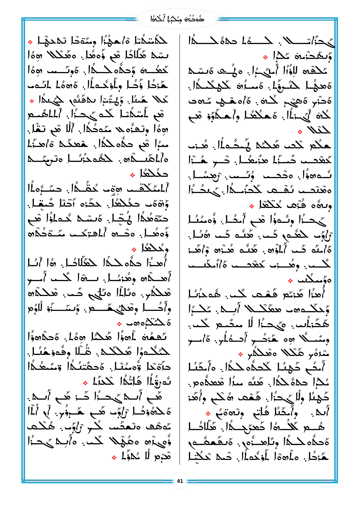للأمتلائل 16 هؤُوُّا ومِّتَوْدَا ثَمْحَوْلًا \* ىشك مُلَّاطُ شَى وُومُدا. ومُنْكَلًا هِوُا كَعُدة وُحِدُّه كَــدًا. هُوئـــب هِهْا هَٰٓزَٰٓحًا ۖ وَلَٰٓوَ اللَّـٰہِ ۚ اللَّـٰہِ ۖ وَلَٰٓوَ اللَّـٰہِ ۖ وَلَٰٓا ۖ وَلَٰٓا ۖ وَلَٰہُ ۖ وَ مَالْمُعَرِّمُ وَشَفْهَا ابْتَهْرَمَ لَّكَ الْمَدَّ هَمْ أَسْلَامًا لِكُمْ يَحْتَابُ ٱلْمَلْغَمَ هِهْۤا وِتَعَزَّمِيهِ مُمَوَّحِّهُۚا. ٱلَّا هُمِ تَغْلَى مبُرا هُم حدُّه لهُما. هَعنَدُه ةاهنُهُ ەڭملىسىگەن. خىقەخۇئىسا ەترېئىسى حكْكْلا \* ٱلْمَكْفَــد هِقِد كُقُــدًا. حمّــزُه أَل وَقْفَ حَكُكْمًا. حَدَّه آدْنَا حُتَّمَا. حتّفعُدًا لِمُتّا. ەَىشى كَـملؤًا شَـم وَّەھُلْ وَحْسَنَ ٱلْمُعْتَمَّى مَّتْقَضُّلَانَّ وحُكْفُلُ ﴾ أُهِدُا حِدُّهِ حَكُما حَقَّلَاحُها. هُا أَسُل أهلكُم وهُنْسًا. بِسْهْلْ كُلْبٌ أُسْبَر تَعْلَمُو. وَتُلَمَّا وَتَأْلِي هُـْمَ. تَعْلَمُهُ وأُحُـــا وِهْكَيْهُــــع. وُبِّمَــــزُو لْاوُمِ  $\bullet$   $\bullet$   $\bullet$   $\bullet$   $\bullet$   $\bullet$   $\bullet$ لَحْمُنَ لَمُوزًا هَٰكُمَا مِوْمًا. وَحَدْمِوزًا ﻜﯩﮕﺪﯗﺍ ﻣُﻜﻜﺪ، ﻣَّﻠْﺎ ﻭﻓُﻪ**ﻭﻣُ**ﻨُـﺎ. حَرَّة ٓدَا ۚ وْمِمُنْـلْ. هَحِمَّتْنُـدًا وَمُنفُـدًا ثَهِ رَوُّلُمْ هَاتُكُمْ كَحَدًا \* هَبِ أَسِمْ يُحِسُّأُ جَبَ هَبِ أَسِمْ. كَالْمُوْصًا ۚ رَٰٰٓاءَ ۖ مَـَــ ۚ هَــْ وَوَٰىٰ ۖ ﴾ [الله ع ئەھْھ ەتىمكىس لگىز تراۋىر. ھُڭلىك فَيْ مِنْ مَا أَوْ لَا مَكْمَدُ وَأَسِطٍ مَحْدَثُهُ ا مْدَمِ لَا مُكْوَّلَ \*

حَدَّاتِ فَي الْمُسْمَعَ الْمُسْمَعَ الْمُسْمَرَّةُ الْمُسْمَرَّةُ الْمُسَمَّرَةُ الْمُسَمَّرَةُ الْ أَوْلَىغْجَنْدَهْ كَلَّالَ \* تَكْفُوه لِلْؤُالُ أَسْيٌجُلْ. وَيُسْكَ وَسَسْكَ ەَھۈلم خْلُوفُها. ەَمىلُە كَدېڭىدا. ەدْبَر ەُھىْم گەن. ەُ/ەھىھ ئەدە لَّكْفَ أَيْهَنْهُمْاً. هُـمَكْتُدًا وأَحْكَمُوْفِ شَم لمثلا . هكُم كُصّْ هَكْمُهْ يُحِشُّمَلًا. هُنف كَعْدَــد دُــزَا هزَّىعُــا. دَــو هُــزَا ئــەھۈل. ەڭھــىي ۇڭــىب. ژېھىئــا. وهْتْصِبْ بُصْبِهِ كَحَزْسِكُمْلِ كِيخْشَرُا وبيؤه فُنْفَ مُنْكَفَا \* حُحِبًّا وِئَدَوًّا هَبِ أَحَكَّا. وَّدَعُنُـا رْاوُ۔ حْقُـُم ضَـٰ. هُنُـُه ضَـٰ هُنُـا. ةَ اللَّهَ كَبِ ٱلْمُؤْمَى. هَٰنُو هُنْزُوهِ وْاهْدَ لَّكْسِبٍ وهُكْسَنِكَ كَفَقْفَسْكَ هَاأَمْكَنِسْكَ ەۋمىگلىي \* أَهْزَا هُزْمُع فَهْمٍ كُبٍّ. هُمْدُرُبُ وُحكَّمِهِ مِعْكَمًا أَيْمٍ. يَكْرُا هْجَٰذَابٍ. وَجَهْجَدْا لَا سِجَّىمٍ جَبْ. ومَمْسأَلًا ۞هِ هُرْتُسِرٍ أَصْتُدَلُو. ۞اسبو شاەر ئىللا ەقىلگىر \* أَىضُ ضَهْنَا كَحِذُهِ حَـٰدًا. ه}َّىظَنَا عْكَرَا حِكَةَ حَكَّا. هُنَّه سأا مُعجَّده حُمْلًا ولَمْ يُحِزَّا. فَعْفٍ شُكْمٍ وأُهُدْ أَلَّمْ. وأَمَطُلُمْ هُاتْمٍ وِنْحَاةَ ﴾ هُـــو كَلَـــوهُ الْحَمْدِجِـــدًا. هَـُلَاحُـــا هُحِدُّه حَــدًا وِتَاهِــزُّهِ, وَيَحَمَّــمَ هُزَدًا. 51ْ10\$ لَمْ نُدماً!. ثَــد تَكْتُـلُّ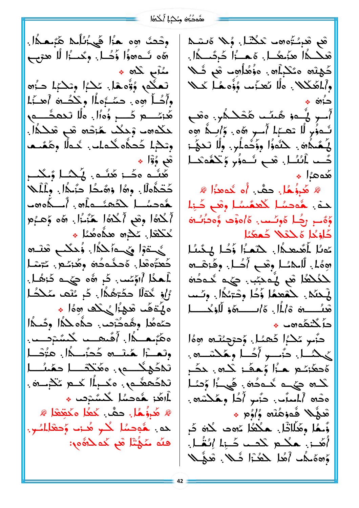هُدَدُوه ومُكْبَهِ أَلْحُدُهُا

وِدْعتْ هِهِ حَزَٰا فَيْ زُلَٰاهَ هَٰذِ حَمَّالٍ. هُه شَـهِ هُؤُا وُحُــاً. وِكُنــزًا لَا هؤهب مُمْامِ كَلَاهِ \* تَعَكُمْ وُوُّهِ هَا. كَكَرًا وِيْكَرَا حَزُرَه وأُحُـأُ 1,09 حمَّـزُه] وتَكَـُـدَ أَهـذَا هُنسُــــع تَـــــر وُهِ١١. ولَا تَـحمدُــــــــهِ هكُدەپ تْرْهَكْتْ هُرْدُو شْخْ شْكْتَالْ. وِتْدْبَا خُجْدُه كُـملت. حُـملًا وِمَّعَنـعا ھُم وُوَّا ﴾ َهَنُـه هکُـ; هَٰنُـهِ. هُـُـُـا وُـكُــرِ كَتْݣُولُا. وِرْهَا وْرَهُىكُمْ دَّىْدًا. وِلْمَلْلا هُوصِيُا لِلْكُمِنُـوْلُمْ. أَـــكُوهِ أَكْتُوا وَتَى أَكْتُوا هَّنَنَا. قَو وَعِبُو مُتَكْفَلَ. سُكْرُه هَذُه هُنا \* يُ حَوْلِ يُ حَكْمًا. وُحكْمٍ هَنَدُه كَعتُوهْا. ەُحثُـەكُنْ وِهُنْسُعْ. سُنْسْل ـلَّـمَـدُا ٱروَّـُـب ِ ثُمٍّ وَّه حَيْــه كَـرْهُـا. رُاو: كَتَەْلَا حَجَّتَهُكُا . كَي سُبْعَت سَكْحُط • أَهُمِ عَكَّرُ انْهُمْ سَفْقَلُوه حَمْعُطُ وهُوكْرْمِب. حَذُّه حَكْمًا وضُـحُلًّا ەھَبُعِمْ دَا. أَقَىھىما گىشتوكى. وِتَعَــٰٓ;ا هَٰنْـَـٰدَ حَٰدَّۥُـــٰٰھُاٰ. عَٰٓزُنَــا ثلاخُوجُدے ، وهُنْدْتَـــا حمَّمُـــا تَمْخُعِفُو، وَكَــرِمُّا كَــع كَثْرِـــة. لْمَعْزِ هُوصِمُلْ كُلْمُتْرْضَدْ ﴾ ه هُروُهُا. حقَّ. كَعُدُ مَكْتِعْدُ *ه* حە. ۿوصمًا گىر ھُنى وِّحعَالمُسْر. فَهُ مُكْمَتًا مْعَ كَمَلَاةُهِ:

هُمْ هُدِئَةُهُ مِنْ تَكْتُلُو. وُلَا هُلْتُمْ هْكِمَا هِنُهُكَ. هُجُدًا جُرْمُحِمًا. كَنْهَاتُهُ مَكْبَلُهُ . مَؤْهُلُهِبْ شَيْ شَكَّلَا وٱلمَكْلا . هِلَا تَعْذَمِ وُؤُهِمًا كَبِلا أَسو لُحْدِ هُنَّم هُتَكَلُو. ٥مَّع ثَـهؤُو لَا تَعَـبُّا أُسو هُهِ. وَإِنِـدٌ هِهِ لَحُمْدُانَ . حَلَّدُوَٰا وِوَّثُدانُو . وِلَا تَحجُــٰ; كُــد لْمُنُــل. هُــع نُــدؤُو وَخْذُهُدْنَــل هُدهُ ال **الله هُدِوْهُا. حَمَّا. أَو يُدْهَرْا لَه** حة. هُوصُل كَعهُسُل وقَع حُزِل ۇگىس رېڭىل كۈڭىت، كادۇھە ۋەھۇكىغ أحَافِكُمْ وَحَكَمْهُ حَمْعَكُمْ الْمُسْتَقِيلَ عَهِ لَم أَهُبِعِيهُ! وَ حَتَمَةُ! وَجُبَا لِمَحْسَلَا هِهُا. لَلطسًا وِهْدِ أَحُلْ. وِقَوْهَــهِ لحُلُكْمُا مْعِ لِمُعْمِيْبٍ. حَيْء تُحْمَدُه لْمِحْكَمْ. لِحْقَعَدُ أَوْحُلُ وَحْتِكُمَّا. وتَـُـب داً كُتْݣُە هوب \* َ دَّىٰبِ عَكْبًا دُهْمًا. وُحرْجِئْنُـهِ هِءُا بمحكسا فأسو أُحُسا وهَكشت، ةَحْفَزَعُكُمْ لَعِيفًا وَلَعْقَبْ لَكُلُّهُ لِلْكُلِّفَ لَّكُمْ حَيْثَ شُدَدُهُ . فَيْ أَلَّ وَصُلَّ هدْده ألمعدًى. دَّنِي أَمَّا وِهَكْسُهِ. هَيْهَا ۖ فَءوَهُنَّه وُاوُم \* وَّمِعًا ومَحَلَّاتًا. حِكْمُا مُود كُنْ دَّ أُهَٰدِ: حَكْمٍ كَحَبَّ خَـٰزَا إِنَّقُـاً. وَ«هَمْمُت أَهُل لِمَعْنَزَا شَلا . تَعِيمُلا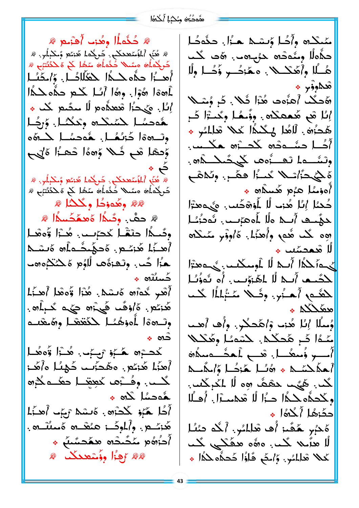@ حُثُماُ! وهُنِ أَقْنِع @ ، هُنَّى ٱلزَّمُحْمَدُكُم . كُمِيكُما هُمْتُمْ وَمُكْلِمُ .<br>كُمِيكُماهُ مِسَّلا كُمُماهُ مِنْعًا كُلِّ هَكْتُتَنِي ﴾ أُهِــُزَا حَدَّه حَــٰهُا حَمَكَلَاحُــا. وُ/حَصُــٰا لْمَوْمَا هُوْا. وِهَٰا أَسُل كُلْعِ حَذُّهِ كَمَا إِبَا. وَيُحِبَّا هُعِدَّوهِ لَا سِصَّعِ كُبِ \* هُوصسًا لِمَسْلَاهِ وِتَكْسًا. وَرَضًا وتسوةا خَرْبُعُها. هُوجِسًا لِحِيوَةِ وُدِهَا هُم شُلا وُهِهُمْ شَهْدًا هَلَى هِ هُنِّي ٱلمُؤْسَّعِدِكُم ِ. ضَرِيْكُما هُنسَّع وَسَكَبِلُرٍ. ه صَٰحُداُه مسَّلا خُذَداُه سَعْا کَمْ هَٰ حَکَّتَتِ ۞ @@ وهُدوْدًا ويُكْتُدُا @ & حقٍّ. وصَّداً هُمحَصَّسدًا & وِكُــكَٰا حِنْقُـا كَحَرِّبٍ. هُــْزَا وُّهڤـا أهدَٰٓ ا هُزئِدِ وَحَذَّدَهُ وَاللَّهُ وَاللَّهُ وَاللَّهُ هزًا حٌب. وِلْـْدَوْْهِ الْأَوُمْ هَـٰكَنْكُرُهِ مِـ خسئثہ ٭ أُهْدِ كُدْآه هُسْكِ. هُٰذَا وَّدْهَا أَهْدَٰذَا وتسوةا لمأوهمُها للكَقفا ووكمعْنه ∻ ∞⊸̂ لَحْدَ ۚ وَ عَـٰٓ ۚ وَ ۖ وَ ۖ وَ عَـٰٓ ۖ وَ وَ هَـٰ الْمَوْهِ وَ وَ هَـٰ الْمَوْهِ وَ وَ هَـٰ الْمَ أَهْبَٰا هُزْمُهِ. وَهُجَّابِ جُهْدًا وَأَهُـٰ; كُــــــــ وفُـــتْ، كَعِقِيبًا حَقَـــه كُثْرُه هُەدىمُا لَاھ ﴾ أَهُا هَبْوْ كَحْرْسٍ. هُىشك رْبِّبْ أَهْذَا هُنْسُمْ. وألموضُ: هنْعْسُه هْمْلْسُهِ. أَحْزُهُم مَّحُمْحُم مَعْجِمَّمَعُ \* @ كَرْمُوْزُا وَوُسْعِدْكُمْ لَهُ

مَّمْكُده وأُكُلُّ وُبْشَكُ هَـزًّا. حَذَّهُكُلُّ حِكْمَلًا وِمُنُوَدَه حَزْبِ10 . ۞ صَدَ كَتَب هُــُلا وِٱهۡـُـْـُـلا . همَّـٰٓنُــُــوٖ وَّـُــا وِلَا مُعَاوِنُو \* هَٰحَكُمُ ٱهنُّوتَ هُٰٓوَا شَكُلاً. ثَمِّ وُسْطِلًا إِبَا هُمْ هُمْعَكُلُهُ. وِؤْسُمًا وِكُنْتَرَا كُمْ هُحَرَٰهَ. لَاهُا لِمُكُنَّهُ! كَمَلا هَالمُبْ \* أَحُــا حشَــودُه كَحــرْه هكَـــب. وتسُّـما تصنُّوها كَبِحَمْكَ وْهِ . هُكَهِجَزَاسًلا مُسْرًا هِهَــزٍ. وِنَكَاهَــم أأدومما هام هُسلَاه \* حُدْمُ إِنَّا هُٰٓنِٮ لَّا لَمُوْهْجُسٍ ۚ وَيُحِمِّرَ ا حجَّمت أسلا ملَّا مأموِّست. تُوجُّسُا ہوہ گب ہُدی واُهنَا. ۂاووْر مَمْکلہ لا قىمچى*تى*پ ھ اتَعصصُ بسكمهاً لَا مما أَمْكِنَص ﻼﺟُﯩ**ﻪ** | *ﺃﯨ*ﺪ ﻟْﻟ ﻠﯘ;ﻭ*ّﯨ*ﺐ. | ﻩ ﺋﻪﯞ*ﺋ*ﺎ لِمَعْمَدٍ أَحِيَّنٍ. وِئَمِيلاً مَتَّبَٰٓا اللهُ كَمَد odilla وُسِلًا إِبْلَ هُـٰٓنِـ وۡاٰهَٰـٰكُـٰرِ. وِٱٰڡَ ٱهـٰٮ سَّـهُ| ضَـ هَحكّـه. حَسَّمَـُـا وِهَـُـْـلا أَمِي وَُمِعَكُماً. قَبِي الْمُشَبِّدِمِيلَاةِ أحككتك مستكفر المؤدخ الأرامك ىڭ فۇب ھۇڭ ۋە لا لمكركك . وكُحِدُّه حَكَّلَ حيُّلَ لَّا هُجِيبِيْرَا فَلَحْلَلْهُ أَحِيلًا الْمَسْلَلَ أحدِّثها أَكْلَاه \* َّهْدُبِر هُقَّىْ; أَفْ هْلِلْنُرٍ. أَيْكُمْ فَنُنْل لَّا هزَمِلا گُمْبٍ. هِ هُه هِڪُکِي گُمْبَ كَمِلًا هَٰلِكُبُّ. وَٰاٰتِكُمْ هَٰلُوَٰٓا خُصِفُوحِكُمَّا \*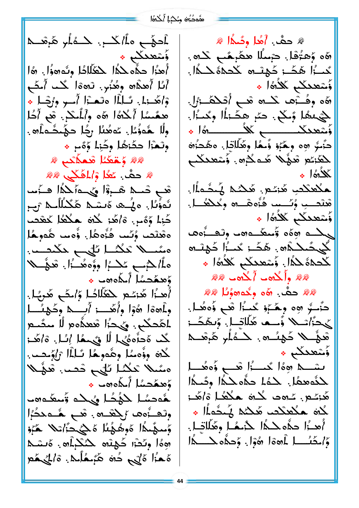هُمحُنُوه ومُحْبَلِ أَلْحُوهَا **& حقٌّ. أَهُا وضُّهُ**ا هِ ؤشعنكم \* هُه وُهِتُوْلَ. حَبْسُلًا هِهُبِمُبِ كَلِهِ. أُهزُا حذَّهِ حَذًا حَكَمَلَاهُا وِنُوهوُا. هُا كَسْرًا هَجَّة جُهِنْيُهِ كَحِدَةَكِدًا. اْبُا اُهِدَاه وِهُنُن. تَهِ ةَا كُمْ اُمِّعْ وَسْعِدِكُم لَكُمُ \* هَه وِهُــتْوَم كَـــره قب أُمْـكِمَـــزُلِ. وْاهْدِنِكْ. ئَبَالْمَالِ دَيْعَةُ! أُسِيرٍ وِرُجْسًا \* .<br>همسُما أَحْدَهُ! هَه وِٱلْمَحْرِ. هَي أَحُل لِيُعِمُا وَمِكْمٍ. حَمْ هِحَـٰٓٓٓٓٓہٰا وِكَـٰٓ أَلِ وُسْعِدِكْمِــــــــ ﴾ لَكَــــــــــــــ ۞ ا ولًا حُوزُىًا. عَوهُمًا رَجًا حَهَّىشُدَاه. دَّنَبُر وه وهُبُو وُحَمَّا وهُلَّاتِا. هِ هُدَّق وتعْزَا حَكَرْهُا وَحَذِا وَهُم \* لمَفْنِكُمْ شَؤْلًا شَمْكُرْهِ. وَمْتَعْدَلْكُمْمْ 22 وَحْكَمُا مُحَكَّسُو ه حقّ عَمَا وَالمَكَبِي هُ **محکوہ اپنی** مكْعِنْكَبِ هُزْسُعٍ. هُكْسُمْ لَمُحْشَمِلًا. هُم شَمَّدُ هُـبِرًّا يُحَمَّدُا فَـزَم هْلْعِــبِ وُنّـــب فُزُهِهْـــه وِكُحْفُـــا. ئُەؤُىُّا. ەڭ ھە ەَىشىھ ھَكْىُللَّىك رَىب وُسْعِدِكُم لَكُهُ \* كَزِلْمٌ وَمَن، وَأَهَدِ كُنْ هَكُفًا كَعْدَب والمستقام وتصنف ونصرهم وكمستكره ەھْلْت ۇنّىپ قُذْەھُل. ۋەيپ ھُەوھُل كُلِيحُمْلِكُمْ وَمُكْرَ كُمْ أَوْ كَوْسُرُوا لَهُمْ مِنْ ەسگىك يىگلىك ئىسكى بىرىكىت. ݣحدةَ ݣَدَا. وُسْعدكُم ݣَلْاهُا \* هأُاكِبِ مُكْبُرًا وِؤُهِعُكُرًا. هُذُلا RR JOLI JOLI, RR وُهِهُدِسُا أَيَّاهُ٥ 20 حقٌّ. 60 وحُدهوُلُّ 20 أُهدًٰا هَٰٓ:يَـٰم لِكَفَلَاهُـا وَآٰيَكَ هَٰٓدِهُـا . جَنُبُو وه وهُجُوْ كُنْدَا هُمْ وَهِ هُمْلَ. وأهقا هُوْا وأُهُـــز أُبِـــد وَحُمْنُــا جُحِزَاتِ اللَّهُ مَسْمًا هَلَلْقِبَا. وَتَعَمَّدُ: لمَحْكُمٍ. وَيُحَزُّا شَعَدُوم لَا سَصَّـم هَؤُلًا كَهْلُــهِ. كَــمُلُر هُبِهْــمْ كْتْ هَدَأْهِ هُيْ لَمْ يَرْهُ وَأَعْدَى مِنْهُمْ أَسْرًا بِهِ مَنْ وُسْعِدْكُم \* لَّكْنَ وِوْْدِمُا وِهُدُوهُا تَـٰالُمَا رُٰ}ِّمَٰتـــ. ىشىك ھۇاڭىسۇ قىر ۋەھُلى مسَّلا تَنْشَا تَايِّع دْمِيَا لْمُنْذَلِكَ لحُدُههمًا. حَدُمُ حَذْهِ حَدًا وصَّدًا وُهِمُحِمُدا أَيَكُوهِ ﴾ هُزئم ِ. سُهد لُه هُ هُلُهُ ا 16هُـز حُوصتُنا المَهْتُمَا وَيُحِلُّوا وَمُتَعَذِّوهِ لُاهَ هكْعِنْكُمْ هَٰكُمْ لِمُحُوَلًا ﴾ وِلْعِيَّةِمَا رَجِّيْتُو . هَــم هُــمحَدُّرُا أهيًا حدُّه حكمًا حدَّمها وهَمُلاتِها. وَسِيَنَ الْمُؤْمَنُ وَشَيْئًا وَحَيْنَ الْمَسْرَةِ وَالْمَسْرَةِ وَالْمُسَامَّةِ وَٱمۡضُـٰـا ۖ أَهُمۡ ا هُوۡوا ۖ وَحِذُّه كَـٰـٰهُا هِهُمْ وِيَحْزَرْ جُهْنُو حَكَيْكُمْ أَنْ هَ مَسْكُمْ بَعْضُوْ الْمَالِيمِ وَالْمُسْتَمَارِ وَالْمَسْهَمُورَ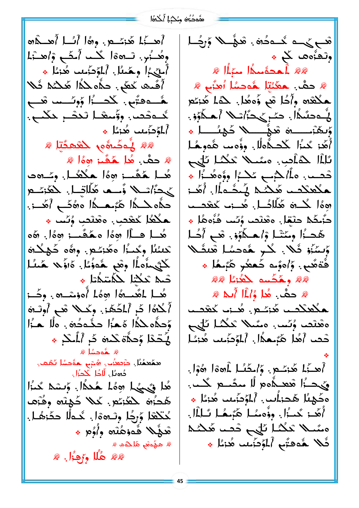هُدَدُوه ومُكْبَهِ أَلْحُدُهُا

أهنَّها هُنْ هِ وَوْا أَسَّا أُهِيمُو وِهُــُوْبِ نَــــ90\$ كُـــد أَمَكَــح وْاهِـــوْمَا أَمِلَيْهِ! وهَمِلًا. أَمْلَوْجَنِّعِيبٍ هُذِيْلٍ \* أُقَى كَعَىٰ. حَذُّه لَكُمَا هَٰلَـٰكُمْ ثَلا هُــومَّنٖ }. كُحـــزًا وَوِئـــب هَـــر كُــەتْـصـ، وقُسقْــا تىخــْـ بىكـــى. اْلِمُوْدَٰىس هُـٰہْـٰمُل ﴾ **88 مُؤْمَنُونَ لِلْعَدِيَّةِ لَهُمَا مَنْ** ه حقٌّ. هُل هُقَّى: 160 هَـ هُما هَقَم، وهُ مِكْفُل. وِسُدِد حْدَّائِكْ وَْسِعْهِ هَكَلاتِها. حْجَزْسُـْمْ دمُّه لِدُا هَبُعِدَا هُهُكُم أَهُــز. لْمَكْظُلُّ كَتْقُصِبْ. وَتْعَنَّصِبْ وُنَّسَبْ \* هُــا هــأا ههُ ا معٌهُـــز ههُ . هُه تَعِينُا وِكَسْرًا هِ هَٰذِكُمْ. وَهُه كَهْكُنْهَ كْتَيْحِذُّه أَا وِتْعِ حُدَوُمًا. هَٰاؤُلا حَمْدُا صْمْ تْكْتَا حْكَمْتْكُمْا \* هُــا لمعُـــهُا هِهُا أُومْــْـهِ . وكُــز أَكْدَهُ أَعْرَ ٱلْمَحَمَدِ. وكُلُّهُ شَمَّ ٱوۡلَـٰدَهَ وُحِذُهِ جَدًّا هُجَزًا حَثَّوَجُونَ. ولَّا جَزَّا لِمُحْدًا وَحِذْة كُده مَ ٱلْمُكْرِ \* همّعمُنُل حَرْمعرُت هُجْنٍ مِمَّحِسًا نَهْف.<br>دُونُل لَّاجُل كَجزَل هُا فَيُحِيَّا هِمًا عُمْدًا. وَسَمْ كَمَّا هُدُوهُ لَهُنَكُمْ. كَمَلاً كَهْلُهُ وَقَوْمَ حُكْفُا وُرِجُا ونَـ90\$. حُـولًا حجّرهُـا. هَدُبِي هُءوَهُنْه وِأَوُم ۞ *ه* مَهُمْ مُلکُه *ه* ۹۵ هُلا دِرْجُوْلَ ۱

هُم رَبِّ هُ مُحدَدَه . هَنُّ لا وَرِكُمْ وتعنُّوها كُمْ \* R ILLE JALEZAL RR ه حفَّ. معَكِّنَا مُوصِّل أهنَّ هـ جِكْعُهِ وِأَحًا هَي وَٰءهُا. كَمَا هَٰـٰئِمِ لْمَحْمَدُهُ الْمَسْرَكِيمَةُ الْمَحْكَوَّفِ وَبِمَنْزَ فَي مَعْنُ اللَّهُ مِنْ اللَّهِ مُنْ اللَّهِ مِنْ اللَّهِ مِنْ مِنْ الْمُؤْمَنِ مِنْ مِنْ أَهَٰذٍ كُنُزًا لَكَحِـثُولًا. وِؤُوسا هُومِـمًا تُلِمَّا حَدَّلُوبِ. مِمَّىكا تَحْكَمَا تَأْتَى تَّتَــب مأَاكِب مَكْبُرا ووَّەهُــزًا \*<br>ـمكعكتـــا هَكْـكا لَىخُــمأَا الْهَــز رەەُا لگىرە ھَلَائىل. ھُــزى كَعْدَـــ حَزْمَكُمْ حِنْقِلْ. وقْتَنْصَبْ وُنِّبْتِ فُزُّوهَا ﴾ ٰ هُدءُا وِمَثْداً وْالْمُلْأُوُّو. هُبِي أَحُلَّا وَسَمَٰٓءَ قَلا اللَّـرِ هُوصِيَا قَسِفُلا فَّةَهُم ِ. وَٱوْمُه كُعفُرِ هَبُنُهُا \* RR Line Lail **ِ هُ حَقٌّ. هُا وُآٰ أَاْ أَبِيا ﴾ ﴾** مكعكص هُزئيع. هُـزب كَعْصب ەھْلْصْدْ وُلَّىدْ، مَنْتَمَلَّا تَكْتُلْكَلِّ حْصا أْهُلْ هَبُيْهِدًا. ٱلْمُوَجِّيْتِ هُرْسًا أَهِيَٰٓا هُزَيَّـُمْ وَٱمْثَلُّلْ لَمُوَهَّا هُوَٓا . يُحدُّلُ مُعلَّدُهِ لَّا سَقَسِعِ كَلْبٍ. ەكچىل ھُجزاُب ِ. ٱلمُؤْجَنُب هُزئا ﴾ أَهَٰذِ كَسَٰرًا. وِؤْدَسُا هَبَسُا سَالَمَالِ. مئىلا تىكىل ئايى تىم شكىد ثَلا هُەٯتُم ٱلمُوۡضَمِد هُزِيُا ﴾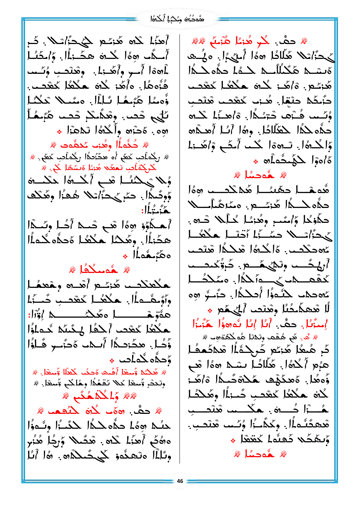هُدَدُوه ومُكْبَهِ أَلْحُدُهُا

أهدًا كمه هُنسُم لِمُهجَّاتِ\. كَم أَسِكُب وَهُمْ كُلْبُ هِجَبَ أَلْ. وُاسْتَثَلَلْ ـْأَ90\$ أُسـو وأَهَدَا. وقَدْتَصب وُنَـُـب فُزْوِهَا. وأَهَٰز لَاهَ حَكْفًا كَعْدَب. ؤْمِمُا هَٰٓبُعُا تَالْمَالِ. مِنۡمَــلا تَحُكُـلُ ئَايِي دْھَبْ. وِشْكُلْبْ دْھَـٰبْ هَٰبُنْهُـأُ 99. هُجْرُه وأَلْحُدُّا نَمْحَرَا \* *®* حُثُماً وهُن مُحقُّوت *®* ۾ رڳدائبِ کعَي اُه هڪَامدُا رڳدائبِ کعَي. ۾<br>ڪرڳدائبِ تمعَد هُزئا هَسَعَا کي. ۾ وُلِمَا يُمْسُلُكُمْ أَنْكُمْ أَنْكُمْ مَكْسَنَةً وَوِصَّمَا. حَبْرِي حَزَائِلا هُءَٰ;ا وِهَٰكُم ِّهُنُوْ اُلُّ أَهْكُوُّوْ هِهُمْ قُوتُ أَكْسَا وَتَسْتَأْلُ هكَناً. وهَكا حكْفُا هَدْهُ كُداً \* Leapo 2 Shuga 2 مكعكصب هُنسُم أشره ومحمد وَأَوْجِعْهِ مِلْلُهُ لَا الْمَحْمَدِ وَحُسَنُهُ حَكْفُلَ كَعْدَبَ أَخْذُلَ لِيَحْبَدُ كَـٰهَاؤُلَ وَّحُـا. هخَاصِدًا أَبــــات هُجَّابِ هَـَاوُّا وُحِدُّه جُدَاْمِدٍ \* *®* هَٰكُمْ وَُسِعْلَ أَقَيمَ وَجِكَ كَلَعْلَلْ وَُسِعْلَ. *®* وتَحْدَرِ وَّسْعَا كَلا تَقْعُدًا وِعُاكُمْ وَّسْعَا. ۞ R LILLY RR ه حقٌّ. «هُ- كُمْهُ كَلْقَصْهُ & حنُــه وهمُــا حـمُّه حـــهُ/ ـححَــُـهُ/ وِنَــهوُ/ ههُكُمْ أَهْذَا ۚ لَاهَ . شَفَّلا وَّرِثًا هُنُر وِنَالَمَا ونَعِنُوهِ كَجِيحُمِكُمْ وَ ﴾ [ أَنَا ]

ه حقٌّ. كُمْ هُنْدًا هُنْدَ هُ حْدَٰ الْكَلَّادُ اهْمَا أَمِيَّا. وَلَّكَ هُ ەبشىھ مَكْتُلَلْسِه جَسْمًا جِفْهِ جَبْدَا هُنْدُم. ةَ/هُـنْ كُـ هُ هَكْعُـا كَعْدَـب حَبْحُمْ حِنْقِلْ. هُـْ: كَعْدَبَ هُنْدَب وُنَــْمَا هُــْزَى دْتِنْـدًا. ةَاهــزَا لَمْـهِ حِمْهِ حِجَالِ حِجَمَااحُل. وهَا أَسَلِ أَصِحْهِ وَالْحَدْهَا. تَدْهَا كُمْ أَمَضَ وَأَهْدَا أَةَاهُوَا لِلْكَمِيْحُمَاهُ \* 2 Lisaie 2 هُدهَــا حكّلئــا هُدْكَحـــب هِهُا حِمْهِ حَـــدًا هَٰٓئِــَـــصْ مِمَّاهُـلَــــلا حكّْوَجُلّْ وَٱمْنُس وهُزْسًا جُبَّلُكُمْ شَدَّهِ . حيحة استفادتها أتحتسل مكانحين ئەدىكت فالحەد ۋىلىدا ئىتى أَرِيْجَـــب وِنْجَيْهُـــع ِ. جُرْوَكُنجـــب كحقف ه على متحدِّ متحدَّث ا كَمُحِكَّبٍ كَلَّدُواْ أُصْلُحُاً. حَزْبُ وَهِ لًا تَعْطَمْخُمًّا وِتْعَلَّفْ أَلَمِّكُمْ \* إِسْتُطُ. حقَّ. أَمُّا إِمَّا نُوهِ وُا هَيُّنْزَا **. ثُمَّ مَعْ هُقَعَ وِلَـهْلَا هُمَكْمُّة وَمَا \*** كَ مُسْأَ هُٰنِيٌّ كُرِكْمُٱ شَكْكُمْ أَ هزم أَحْدَهُ!. هَٰلَائُمَا بِشَيْ هِهُ! شَيْ ؤُوهُا. هُعكُهُ عَلَاهُ صَـٰدًا وْاهَـٰ: لْمَةَ حَكْفُا كَعْدَبِ دَّىزَاْلِ وَهُكْدًا هُــــــْأَل حُــــــــــون . هكـــــــب مْعِمُنُـم)ٰا . وكَذُبُرا وُنّـب مْنْصب . وَبِمَكُمْ دَقِيقًا لَحَقَقًا ﴾ A Lisan A